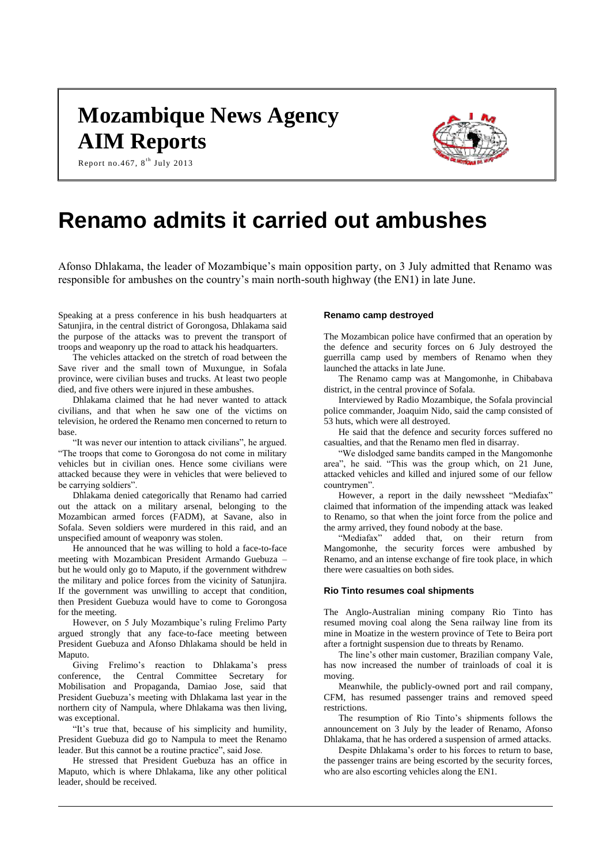# **Mozambique News Agency AIM Reports**





## **Renamo admits it carried out ambushes**

Afonso Dhlakama, the leader of Mozambique's main opposition party, on 3 July admitted that Renamo was responsible for ambushes on the country's main north-south highway (the EN1) in late June.

Speaking at a press conference in his bush headquarters at Satunjira, in the central district of Gorongosa, Dhlakama said the purpose of the attacks was to prevent the transport of troops and weaponry up the road to attack his headquarters.

The vehicles attacked on the stretch of road between the Save river and the small town of Muxungue, in Sofala province, were civilian buses and trucks. At least two people died, and five others were injured in these ambushes.

Dhlakama claimed that he had never wanted to attack civilians, and that when he saw one of the victims on television, he ordered the Renamo men concerned to return to base.

"It was never our intention to attack civilians", he argued. "The troops that come to Gorongosa do not come in military vehicles but in civilian ones. Hence some civilians were attacked because they were in vehicles that were believed to be carrying soldiers".

Dhlakama denied categorically that Renamo had carried out the attack on a military arsenal, belonging to the Mozambican armed forces (FADM), at Savane, also in Sofala. Seven soldiers were murdered in this raid, and an unspecified amount of weaponry was stolen.

He announced that he was willing to hold a face-to-face meeting with Mozambican President Armando Guebuza – but he would only go to Maputo, if the government withdrew the military and police forces from the vicinity of Satunjira. If the government was unwilling to accept that condition, then President Guebuza would have to come to Gorongosa for the meeting.

However, on 5 July Mozambique's ruling Frelimo Party argued strongly that any face-to-face meeting between President Guebuza and Afonso Dhlakama should be held in Maputo.

Giving Frelimo's reaction to Dhlakama's press conference, the Central Committee Secretary for Mobilisation and Propaganda, Damiao Jose, said that President Guebuza's meeting with Dhlakama last year in the northern city of Nampula, where Dhlakama was then living, was exceptional.

"It's true that, because of his simplicity and humility, President Guebuza did go to Nampula to meet the Renamo leader. But this cannot be a routine practice", said Jose.

He stressed that President Guebuza has an office in Maputo, which is where Dhlakama, like any other political leader, should be received.

### **Renamo camp destroyed**

The Mozambican police have confirmed that an operation by the defence and security forces on 6 July destroyed the guerrilla camp used by members of Renamo when they launched the attacks in late June.

The Renamo camp was at Mangomonhe, in Chibabava district, in the central province of Sofala.

Interviewed by Radio Mozambique, the Sofala provincial police commander, Joaquim Nido, said the camp consisted of 53 huts, which were all destroyed.

He said that the defence and security forces suffered no casualties, and that the Renamo men fled in disarray.

"We dislodged same bandits camped in the Mangomonhe area", he said. "This was the group which, on 21 June, attacked vehicles and killed and injured some of our fellow countrymen".

However, a report in the daily newssheet "Mediafax" claimed that information of the impending attack was leaked to Renamo, so that when the joint force from the police and the army arrived, they found nobody at the base.

"Mediafax" added that, on their return from Mangomonhe, the security forces were ambushed by Renamo, and an intense exchange of fire took place, in which there were casualties on both sides.

### **Rio Tinto resumes coal shipments**

The Anglo-Australian mining company Rio Tinto has resumed moving coal along the Sena railway line from its mine in Moatize in the western province of Tete to Beira port after a fortnight suspension due to threats by Renamo.

The line's other main customer, Brazilian company Vale, has now increased the number of trainloads of coal it is moving.

Meanwhile, the publicly-owned port and rail company, CFM, has resumed passenger trains and removed speed restrictions.

The resumption of Rio Tinto's shipments follows the announcement on 3 July by the leader of Renamo, Afonso Dhlakama, that he has ordered a suspension of armed attacks.

Despite Dhlakama's order to his forces to return to base, the passenger trains are being escorted by the security forces, who are also escorting vehicles along the EN1.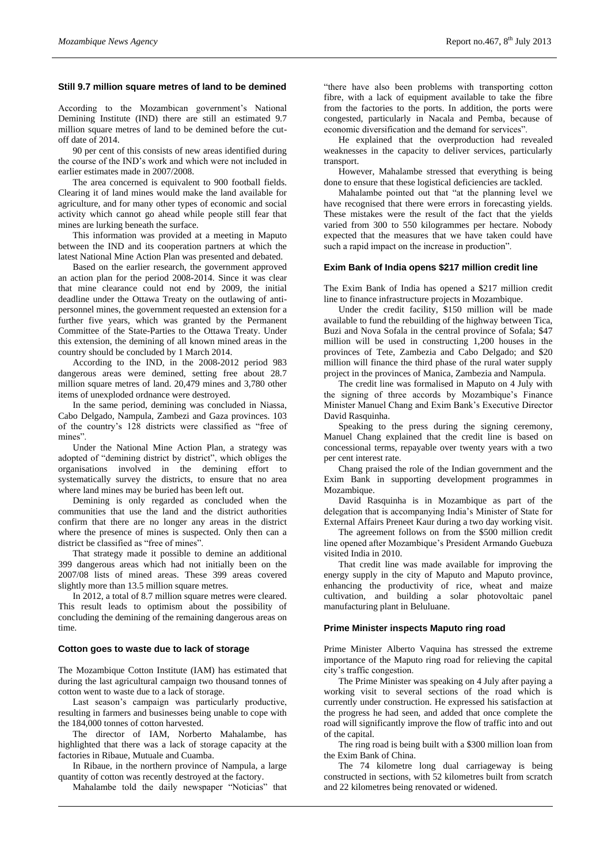## **Still 9.7 million square metres of land to be demined**

According to the Mozambican government's National Demining Institute (IND) there are still an estimated 9.7 million square metres of land to be demined before the cutoff date of 2014.

90 per cent of this consists of new areas identified during the course of the IND's work and which were not included in earlier estimates made in 2007/2008.

The area concerned is equivalent to 900 football fields. Clearing it of land mines would make the land available for agriculture, and for many other types of economic and social activity which cannot go ahead while people still fear that mines are lurking beneath the surface.

This information was provided at a meeting in Maputo between the IND and its cooperation partners at which the latest National Mine Action Plan was presented and debated.

Based on the earlier research, the government approved an action plan for the period 2008-2014. Since it was clear that mine clearance could not end by 2009, the initial deadline under the Ottawa Treaty on the outlawing of antipersonnel mines, the government requested an extension for a further five years, which was granted by the Permanent Committee of the State-Parties to the Ottawa Treaty. Under this extension, the demining of all known mined areas in the country should be concluded by 1 March 2014.

According to the IND, in the 2008-2012 period 983 dangerous areas were demined, setting free about 28.7 million square metres of land. 20,479 mines and 3,780 other items of unexploded ordnance were destroyed.

In the same period, demining was concluded in Niassa, Cabo Delgado, Nampula, Zambezi and Gaza provinces. 103 of the country's 128 districts were classified as "free of mines".

Under the National Mine Action Plan, a strategy was adopted of "demining district by district", which obliges the organisations involved in the demining effort to systematically survey the districts, to ensure that no area where land mines may be buried has been left out.

Demining is only regarded as concluded when the communities that use the land and the district authorities confirm that there are no longer any areas in the district where the presence of mines is suspected. Only then can a district be classified as "free of mines".

That strategy made it possible to demine an additional 399 dangerous areas which had not initially been on the 2007/08 lists of mined areas. These 399 areas covered slightly more than 13.5 million square metres.

In 2012, a total of 8.7 million square metres were cleared. This result leads to optimism about the possibility of concluding the demining of the remaining dangerous areas on time.

#### **Cotton goes to waste due to lack of storage**

The Mozambique Cotton Institute (IAM) has estimated that during the last agricultural campaign two thousand tonnes of cotton went to waste due to a lack of storage.

Last season's campaign was particularly productive, resulting in farmers and businesses being unable to cope with the 184,000 tonnes of cotton harvested.

The director of IAM, Norberto Mahalambe, has highlighted that there was a lack of storage capacity at the factories in Ribaue, Mutuale and Cuamba.

In Ribaue, in the northern province of Nampula, a large quantity of cotton was recently destroyed at the factory.

Mahalambe told the daily newspaper "Noticias" that

"there have also been problems with transporting cotton fibre, with a lack of equipment available to take the fibre from the factories to the ports. In addition, the ports were congested, particularly in Nacala and Pemba, because of economic diversification and the demand for services".

He explained that the overproduction had revealed weaknesses in the capacity to deliver services, particularly transport.

However, Mahalambe stressed that everything is being done to ensure that these logistical deficiencies are tackled.

Mahalambe pointed out that "at the planning level we have recognised that there were errors in forecasting yields. These mistakes were the result of the fact that the yields varied from 300 to 550 kilogrammes per hectare. Nobody expected that the measures that we have taken could have such a rapid impact on the increase in production".

## **Exim Bank of India opens \$217 million credit line**

The Exim Bank of India has opened a \$217 million credit line to finance infrastructure projects in Mozambique.

Under the credit facility, \$150 million will be made available to fund the rebuilding of the highway between Tica, Buzi and Nova Sofala in the central province of Sofala; \$47 million will be used in constructing 1,200 houses in the provinces of Tete, Zambezia and Cabo Delgado; and \$20 million will finance the third phase of the rural water supply project in the provinces of Manica, Zambezia and Nampula.

The credit line was formalised in Maputo on 4 July with the signing of three accords by Mozambique's Finance Minister Manuel Chang and Exim Bank's Executive Director David Rasquinha.

Speaking to the press during the signing ceremony, Manuel Chang explained that the credit line is based on concessional terms, repayable over twenty years with a two per cent interest rate.

Chang praised the role of the Indian government and the Exim Bank in supporting development programmes in Mozambique.

David Rasquinha is in Mozambique as part of the delegation that is accompanying India's Minister of State for External Affairs Preneet Kaur during a two day working visit.

The agreement follows on from the \$500 million credit line opened after Mozambique's President Armando Guebuza visited India in 2010.

That credit line was made available for improving the energy supply in the city of Maputo and Maputo province, enhancing the productivity of rice, wheat and maize cultivation, and building a solar photovoltaic panel manufacturing plant in Beluluane.

## **Prime Minister inspects Maputo ring road**

Prime Minister Alberto Vaquina has stressed the extreme importance of the Maputo ring road for relieving the capital city's traffic congestion.

The Prime Minister was speaking on 4 July after paying a working visit to several sections of the road which is currently under construction. He expressed his satisfaction at the progress he had seen, and added that once complete the road will significantly improve the flow of traffic into and out of the capital.

The ring road is being built with a \$300 million loan from the Exim Bank of China.

The 74 kilometre long dual carriageway is being constructed in sections, with 52 kilometres built from scratch and 22 kilometres being renovated or widened.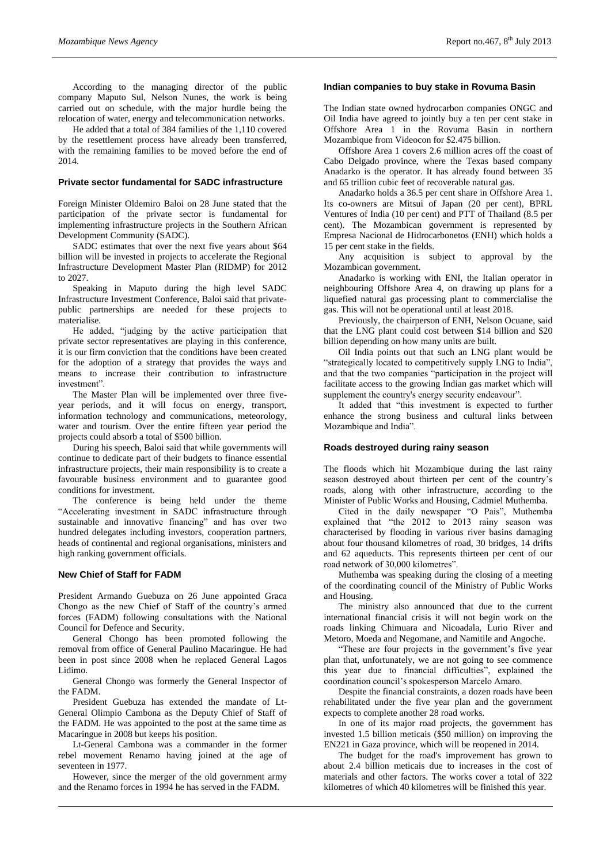According to the managing director of the public company Maputo Sul, Nelson Nunes, the work is being carried out on schedule, with the major hurdle being the relocation of water, energy and telecommunication networks.

He added that a total of 384 families of the 1,110 covered by the resettlement process have already been transferred, with the remaining families to be moved before the end of 2014.

## **Private sector fundamental for SADC infrastructure**

Foreign Minister Oldemiro Baloi on 28 June stated that the participation of the private sector is fundamental for implementing infrastructure projects in the Southern African Development Community (SADC).

SADC estimates that over the next five years about \$64 billion will be invested in projects to accelerate the Regional Infrastructure Development Master Plan (RIDMP) for 2012 to 2027.

Speaking in Maputo during the high level SADC Infrastructure Investment Conference, Baloi said that privatepublic partnerships are needed for these projects to materialise.

He added, "judging by the active participation that private sector representatives are playing in this conference, it is our firm conviction that the conditions have been created for the adoption of a strategy that provides the ways and means to increase their contribution to infrastructure investment".

The Master Plan will be implemented over three fiveyear periods, and it will focus on energy, transport, information technology and communications, meteorology, water and tourism. Over the entire fifteen year period the projects could absorb a total of \$500 billion.

During his speech, Baloi said that while governments will continue to dedicate part of their budgets to finance essential infrastructure projects, their main responsibility is to create a favourable business environment and to guarantee good conditions for investment.

The conference is being held under the theme "Accelerating investment in SADC infrastructure through sustainable and innovative financing" and has over two hundred delegates including investors, cooperation partners, heads of continental and regional organisations, ministers and high ranking government officials.

#### **New Chief of Staff for FADM**

President Armando Guebuza on 26 June appointed Graca Chongo as the new Chief of Staff of the country's armed forces (FADM) following consultations with the National Council for Defence and Security.

General Chongo has been promoted following the removal from office of General Paulino Macaringue. He had been in post since 2008 when he replaced General Lagos Lidimo.

General Chongo was formerly the General Inspector of the FADM.

President Guebuza has extended the mandate of Lt-General Olimpio Cambona as the Deputy Chief of Staff of the FADM. He was appointed to the post at the same time as Macaringue in 2008 but keeps his position.

Lt-General Cambona was a commander in the former rebel movement Renamo having joined at the age of seventeen in 1977.

However, since the merger of the old government army and the Renamo forces in 1994 he has served in the FADM.

## **Indian companies to buy stake in Rovuma Basin**

The Indian state owned hydrocarbon companies ONGC and Oil India have agreed to jointly buy a ten per cent stake in Offshore Area 1 in the Rovuma Basin in northern Mozambique from Videocon for \$2.475 billion.

Offshore Area 1 covers 2.6 million acres off the coast of Cabo Delgado province, where the Texas based company Anadarko is the operator. It has already found between 35 and 65 trillion cubic feet of recoverable natural gas.

Anadarko holds a 36.5 per cent share in Offshore Area 1. Its co-owners are Mitsui of Japan (20 per cent), BPRL Ventures of India (10 per cent) and PTT of Thailand (8.5 per cent). The Mozambican government is represented by Empresa Nacional de Hidrocarbonetos (ENH) which holds a 15 per cent stake in the fields.

Any acquisition is subject to approval by the Mozambican government.

Anadarko is working with ENI, the Italian operator in neighbouring Offshore Area 4, on drawing up plans for a liquefied natural gas processing plant to commercialise the gas. This will not be operational until at least 2018.

Previously, the chairperson of ENH, Nelson Ocuane, said that the LNG plant could cost between \$14 billion and \$20 billion depending on how many units are built.

Oil India points out that such an LNG plant would be "strategically located to competitively supply LNG to India", and that the two companies "participation in the project will facilitate access to the growing Indian gas market which will supplement the country's energy security endeavour".

It added that "this investment is expected to further enhance the strong business and cultural links between Mozambique and India".

## **Roads destroyed during rainy season**

The floods which hit Mozambique during the last rainy season destroyed about thirteen per cent of the country's roads, along with other infrastructure, according to the Minister of Public Works and Housing, Cadmiel Muthemba.

Cited in the daily newspaper "O Pais", Muthemba explained that "the 2012 to 2013 rainy season was characterised by flooding in various river basins damaging about four thousand kilometres of road, 30 bridges, 14 drifts and 62 aqueducts. This represents thirteen per cent of our road network of 30,000 kilometres".

Muthemba was speaking during the closing of a meeting of the coordinating council of the Ministry of Public Works and Housing.

The ministry also announced that due to the current international financial crisis it will not begin work on the roads linking Chimuara and Nicoadala, Lurio River and Metoro, Moeda and Negomane, and Namitile and Angoche.

"These are four projects in the government's five year plan that, unfortunately, we are not going to see commence this year due to financial difficulties", explained the coordination council's spokesperson Marcelo Amaro.

Despite the financial constraints, a dozen roads have been rehabilitated under the five year plan and the government expects to complete another 28 road works.

In one of its major road projects, the government has invested 1.5 billion meticais (\$50 million) on improving the EN221 in Gaza province, which will be reopened in 2014.

The budget for the road's improvement has grown to about 2.4 billion meticais due to increases in the cost of materials and other factors. The works cover a total of 322 kilometres of which 40 kilometres will be finished this year.